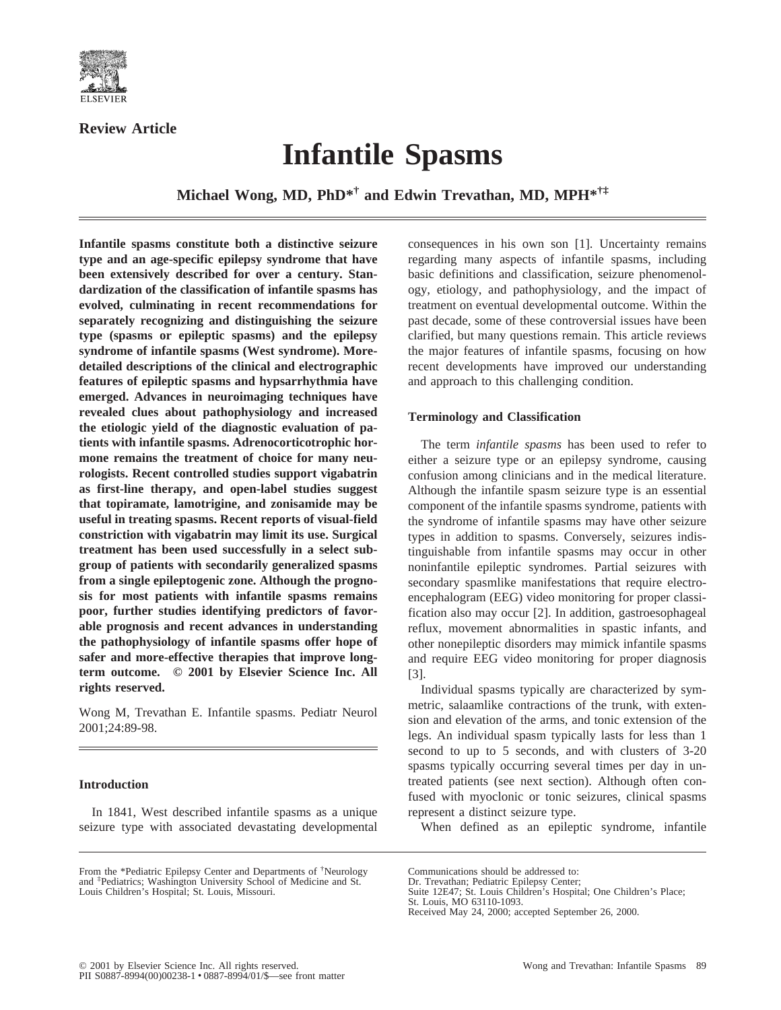

**Review Article**

# **Infantile Spasms**

**Michael Wong, MD, PhD\*† and Edwin Trevathan, MD, MPH\*†‡**

**Infantile spasms constitute both a distinctive seizure type and an age-specific epilepsy syndrome that have been extensively described for over a century. Standardization of the classification of infantile spasms has evolved, culminating in recent recommendations for separately recognizing and distinguishing the seizure type (spasms or epileptic spasms) and the epilepsy syndrome of infantile spasms (West syndrome). Moredetailed descriptions of the clinical and electrographic features of epileptic spasms and hypsarrhythmia have emerged. Advances in neuroimaging techniques have revealed clues about pathophysiology and increased the etiologic yield of the diagnostic evaluation of patients with infantile spasms. Adrenocorticotrophic hormone remains the treatment of choice for many neurologists. Recent controlled studies support vigabatrin as first-line therapy, and open-label studies suggest that topiramate, lamotrigine, and zonisamide may be useful in treating spasms. Recent reports of visual-field constriction with vigabatrin may limit its use. Surgical treatment has been used successfully in a select subgroup of patients with secondarily generalized spasms from a single epileptogenic zone. Although the prognosis for most patients with infantile spasms remains poor, further studies identifying predictors of favorable prognosis and recent advances in understanding the pathophysiology of infantile spasms offer hope of safer and more-effective therapies that improve longterm outcome. © 2001 by Elsevier Science Inc. All rights reserved.**

Wong M, Trevathan E. Infantile spasms. Pediatr Neurol 2001;24:89-98.

# **Introduction**

In 1841, West described infantile spasms as a unique seizure type with associated devastating developmental

From the \*Pediatric Epilepsy Center and Departments of <sup>†</sup>Neurology and ‡ Pediatrics; Washington University School of Medicine and St. Louis Children's Hospital; St. Louis, Missouri.

consequences in his own son [1]. Uncertainty remains regarding many aspects of infantile spasms, including basic definitions and classification, seizure phenomenology, etiology, and pathophysiology, and the impact of treatment on eventual developmental outcome. Within the past decade, some of these controversial issues have been clarified, but many questions remain. This article reviews the major features of infantile spasms, focusing on how recent developments have improved our understanding and approach to this challenging condition.

## **Terminology and Classification**

The term *infantile spasms* has been used to refer to either a seizure type or an epilepsy syndrome, causing confusion among clinicians and in the medical literature. Although the infantile spasm seizure type is an essential component of the infantile spasms syndrome, patients with the syndrome of infantile spasms may have other seizure types in addition to spasms. Conversely, seizures indistinguishable from infantile spasms may occur in other noninfantile epileptic syndromes. Partial seizures with secondary spasmlike manifestations that require electroencephalogram (EEG) video monitoring for proper classification also may occur [2]. In addition, gastroesophageal reflux, movement abnormalities in spastic infants, and other nonepileptic disorders may mimick infantile spasms and require EEG video monitoring for proper diagnosis [3].

Individual spasms typically are characterized by symmetric, salaamlike contractions of the trunk, with extension and elevation of the arms, and tonic extension of the legs. An individual spasm typically lasts for less than 1 second to up to 5 seconds, and with clusters of 3-20 spasms typically occurring several times per day in untreated patients (see next section). Although often confused with myoclonic or tonic seizures, clinical spasms represent a distinct seizure type.

When defined as an epileptic syndrome, infantile

Communications should be addressed to:

Dr. Trevathan; Pediatric Epilepsy Center;

Suite 12E47; St. Louis Children's Hospital; One Children's Place; St. Louis, MO 63110-1093.

Received May 24, 2000; accepted September 26, 2000.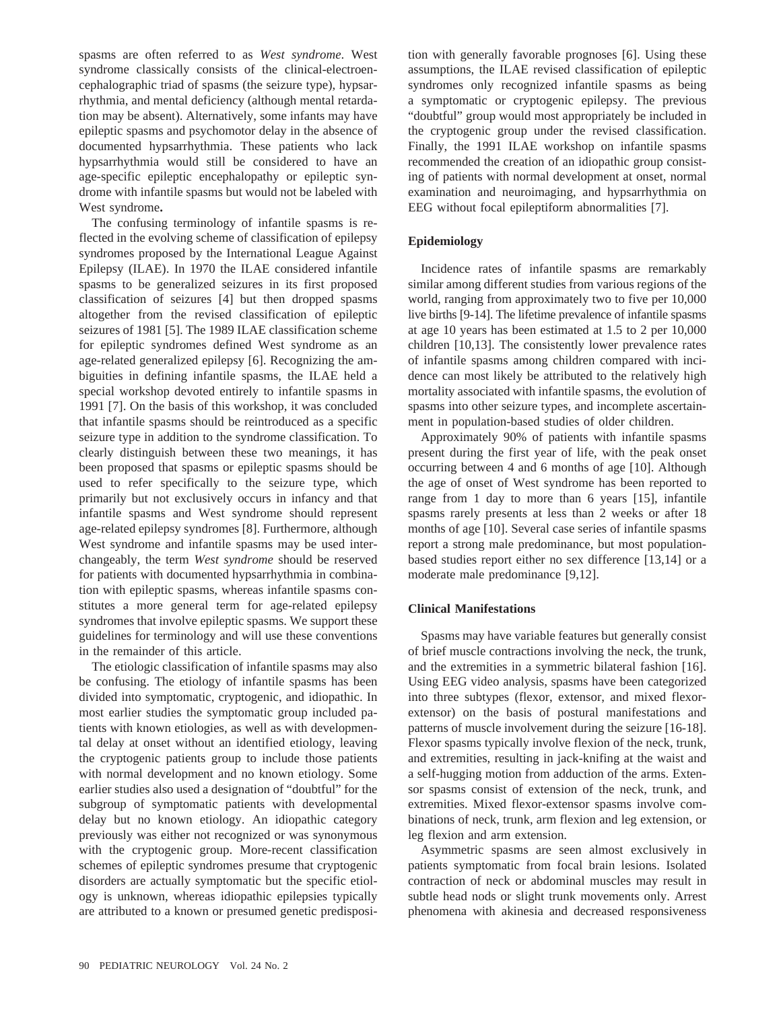spasms are often referred to as *West syndrome*. West syndrome classically consists of the clinical-electroencephalographic triad of spasms (the seizure type), hypsarrhythmia, and mental deficiency (although mental retardation may be absent). Alternatively, some infants may have epileptic spasms and psychomotor delay in the absence of documented hypsarrhythmia. These patients who lack hypsarrhythmia would still be considered to have an age-specific epileptic encephalopathy or epileptic syndrome with infantile spasms but would not be labeled with West syndrome**.**

The confusing terminology of infantile spasms is reflected in the evolving scheme of classification of epilepsy syndromes proposed by the International League Against Epilepsy (ILAE). In 1970 the ILAE considered infantile spasms to be generalized seizures in its first proposed classification of seizures [4] but then dropped spasms altogether from the revised classification of epileptic seizures of 1981 [5]. The 1989 ILAE classification scheme for epileptic syndromes defined West syndrome as an age-related generalized epilepsy [6]. Recognizing the ambiguities in defining infantile spasms, the ILAE held a special workshop devoted entirely to infantile spasms in 1991 [7]. On the basis of this workshop, it was concluded that infantile spasms should be reintroduced as a specific seizure type in addition to the syndrome classification. To clearly distinguish between these two meanings, it has been proposed that spasms or epileptic spasms should be used to refer specifically to the seizure type, which primarily but not exclusively occurs in infancy and that infantile spasms and West syndrome should represent age-related epilepsy syndromes [8]. Furthermore, although West syndrome and infantile spasms may be used interchangeably, the term *West syndrome* should be reserved for patients with documented hypsarrhythmia in combination with epileptic spasms, whereas infantile spasms constitutes a more general term for age-related epilepsy syndromes that involve epileptic spasms. We support these guidelines for terminology and will use these conventions in the remainder of this article.

The etiologic classification of infantile spasms may also be confusing. The etiology of infantile spasms has been divided into symptomatic, cryptogenic, and idiopathic. In most earlier studies the symptomatic group included patients with known etiologies, as well as with developmental delay at onset without an identified etiology, leaving the cryptogenic patients group to include those patients with normal development and no known etiology. Some earlier studies also used a designation of "doubtful" for the subgroup of symptomatic patients with developmental delay but no known etiology. An idiopathic category previously was either not recognized or was synonymous with the cryptogenic group. More-recent classification schemes of epileptic syndromes presume that cryptogenic disorders are actually symptomatic but the specific etiology is unknown, whereas idiopathic epilepsies typically are attributed to a known or presumed genetic predisposition with generally favorable prognoses [6]. Using these assumptions, the ILAE revised classification of epileptic syndromes only recognized infantile spasms as being a symptomatic or cryptogenic epilepsy. The previous "doubtful" group would most appropriately be included in the cryptogenic group under the revised classification. Finally, the 1991 ILAE workshop on infantile spasms recommended the creation of an idiopathic group consisting of patients with normal development at onset, normal examination and neuroimaging, and hypsarrhythmia on EEG without focal epileptiform abnormalities [7].

# **Epidemiology**

Incidence rates of infantile spasms are remarkably similar among different studies from various regions of the world, ranging from approximately two to five per 10,000 live births [9-14]. The lifetime prevalence of infantile spasms at age 10 years has been estimated at 1.5 to 2 per 10,000 children [10,13]. The consistently lower prevalence rates of infantile spasms among children compared with incidence can most likely be attributed to the relatively high mortality associated with infantile spasms, the evolution of spasms into other seizure types, and incomplete ascertainment in population-based studies of older children.

Approximately 90% of patients with infantile spasms present during the first year of life, with the peak onset occurring between 4 and 6 months of age [10]. Although the age of onset of West syndrome has been reported to range from 1 day to more than 6 years [15], infantile spasms rarely presents at less than 2 weeks or after 18 months of age [10]. Several case series of infantile spasms report a strong male predominance, but most populationbased studies report either no sex difference [13,14] or a moderate male predominance [9,12].

#### **Clinical Manifestations**

Spasms may have variable features but generally consist of brief muscle contractions involving the neck, the trunk, and the extremities in a symmetric bilateral fashion [16]. Using EEG video analysis, spasms have been categorized into three subtypes (flexor, extensor, and mixed flexorextensor) on the basis of postural manifestations and patterns of muscle involvement during the seizure [16-18]. Flexor spasms typically involve flexion of the neck, trunk, and extremities, resulting in jack-knifing at the waist and a self-hugging motion from adduction of the arms. Extensor spasms consist of extension of the neck, trunk, and extremities. Mixed flexor-extensor spasms involve combinations of neck, trunk, arm flexion and leg extension, or leg flexion and arm extension.

Asymmetric spasms are seen almost exclusively in patients symptomatic from focal brain lesions. Isolated contraction of neck or abdominal muscles may result in subtle head nods or slight trunk movements only. Arrest phenomena with akinesia and decreased responsiveness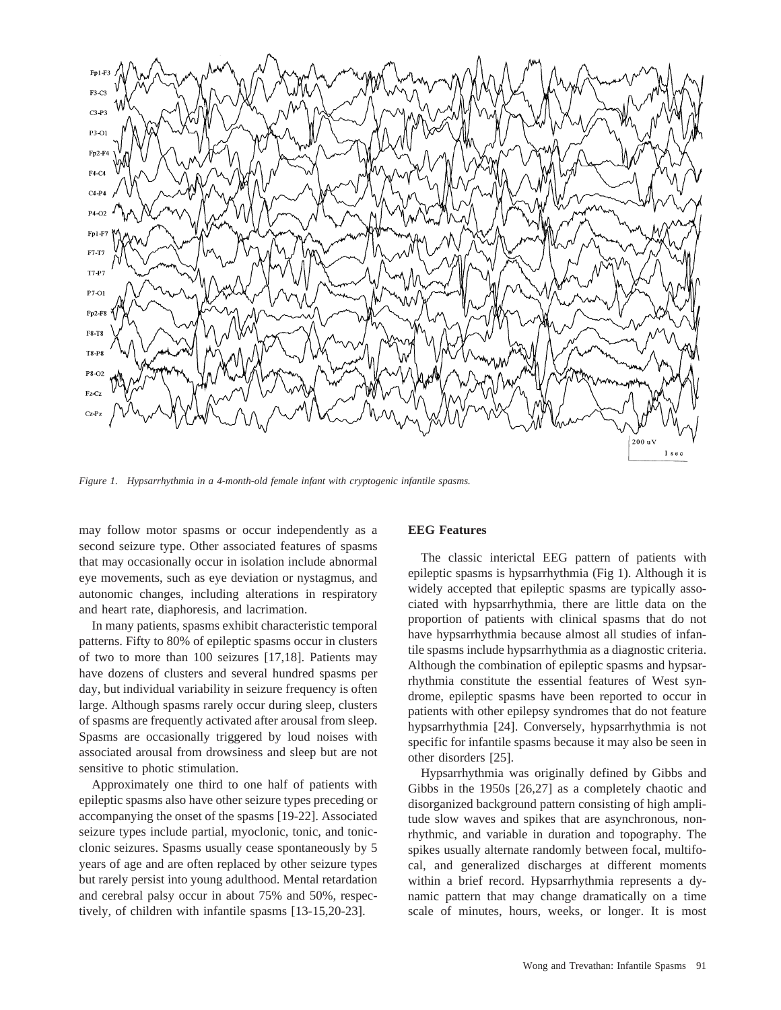

*Figure 1. Hypsarrhythmia in a 4-month-old female infant with cryptogenic infantile spasms.*

may follow motor spasms or occur independently as a second seizure type. Other associated features of spasms that may occasionally occur in isolation include abnormal eye movements, such as eye deviation or nystagmus, and autonomic changes, including alterations in respiratory and heart rate, diaphoresis, and lacrimation.

In many patients, spasms exhibit characteristic temporal patterns. Fifty to 80% of epileptic spasms occur in clusters of two to more than 100 seizures [17,18]. Patients may have dozens of clusters and several hundred spasms per day, but individual variability in seizure frequency is often large. Although spasms rarely occur during sleep, clusters of spasms are frequently activated after arousal from sleep. Spasms are occasionally triggered by loud noises with associated arousal from drowsiness and sleep but are not sensitive to photic stimulation.

Approximately one third to one half of patients with epileptic spasms also have other seizure types preceding or accompanying the onset of the spasms [19-22]. Associated seizure types include partial, myoclonic, tonic, and tonicclonic seizures. Spasms usually cease spontaneously by 5 years of age and are often replaced by other seizure types but rarely persist into young adulthood. Mental retardation and cerebral palsy occur in about 75% and 50%, respectively, of children with infantile spasms [13-15,20-23].

## **EEG Features**

The classic interictal EEG pattern of patients with epileptic spasms is hypsarrhythmia (Fig 1). Although it is widely accepted that epileptic spasms are typically associated with hypsarrhythmia, there are little data on the proportion of patients with clinical spasms that do not have hypsarrhythmia because almost all studies of infantile spasms include hypsarrhythmia as a diagnostic criteria. Although the combination of epileptic spasms and hypsarrhythmia constitute the essential features of West syndrome, epileptic spasms have been reported to occur in patients with other epilepsy syndromes that do not feature hypsarrhythmia [24]. Conversely, hypsarrhythmia is not specific for infantile spasms because it may also be seen in other disorders [25].

Hypsarrhythmia was originally defined by Gibbs and Gibbs in the 1950s [26,27] as a completely chaotic and disorganized background pattern consisting of high amplitude slow waves and spikes that are asynchronous, nonrhythmic, and variable in duration and topography. The spikes usually alternate randomly between focal, multifocal, and generalized discharges at different moments within a brief record. Hypsarrhythmia represents a dynamic pattern that may change dramatically on a time scale of minutes, hours, weeks, or longer. It is most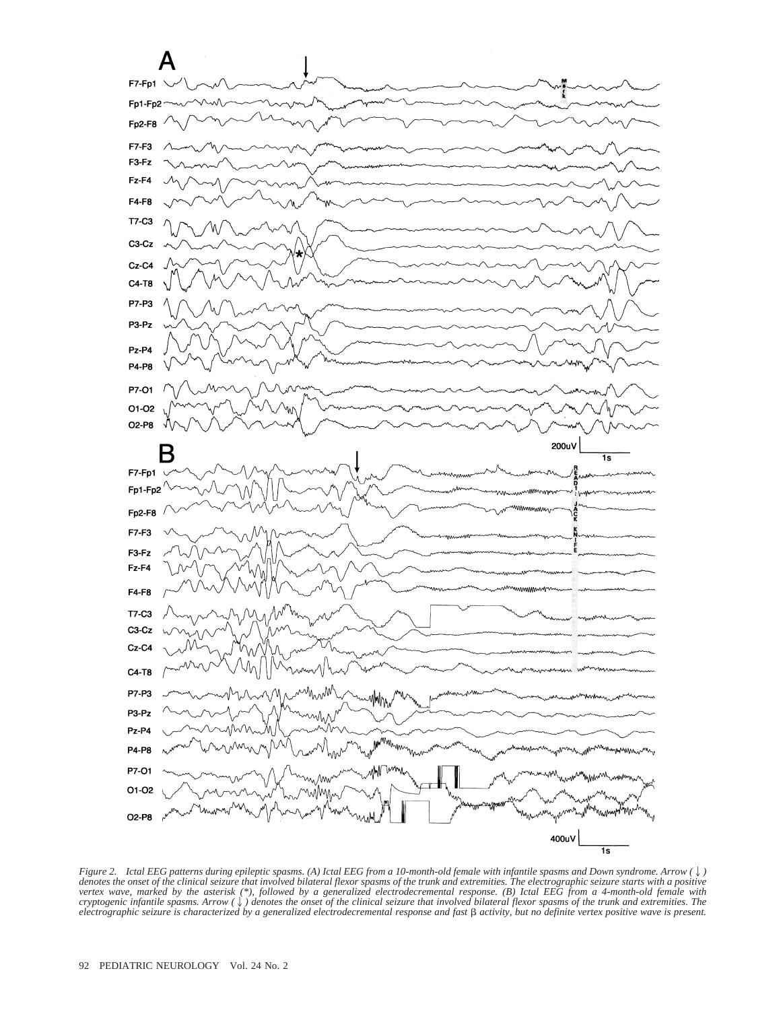

*Figure 2. Ictal EEG patterns during epileptic spasms. (A) Ictal EEG from a 10-month-old female with infantile spasms and Down syndrome. Arrow (* $\downarrow$ *) denotes the onset of the clinical seizure that involved bilateral flexor spasms of the trunk and extremities. The electrographic seizure starts with a positive vertex wave, marked by the asterisk (\*), followed by a generalized electrodecremental response. (B) Ictal EEG from a 4-month-old female with* cryptogenic infantile spasms. Arrow (↓) denotes the onset of the clinical seizure that involved bilateral flexor spasms of the trunk and extremities. The<br>electrographic seizure is characterized by a generalized electrode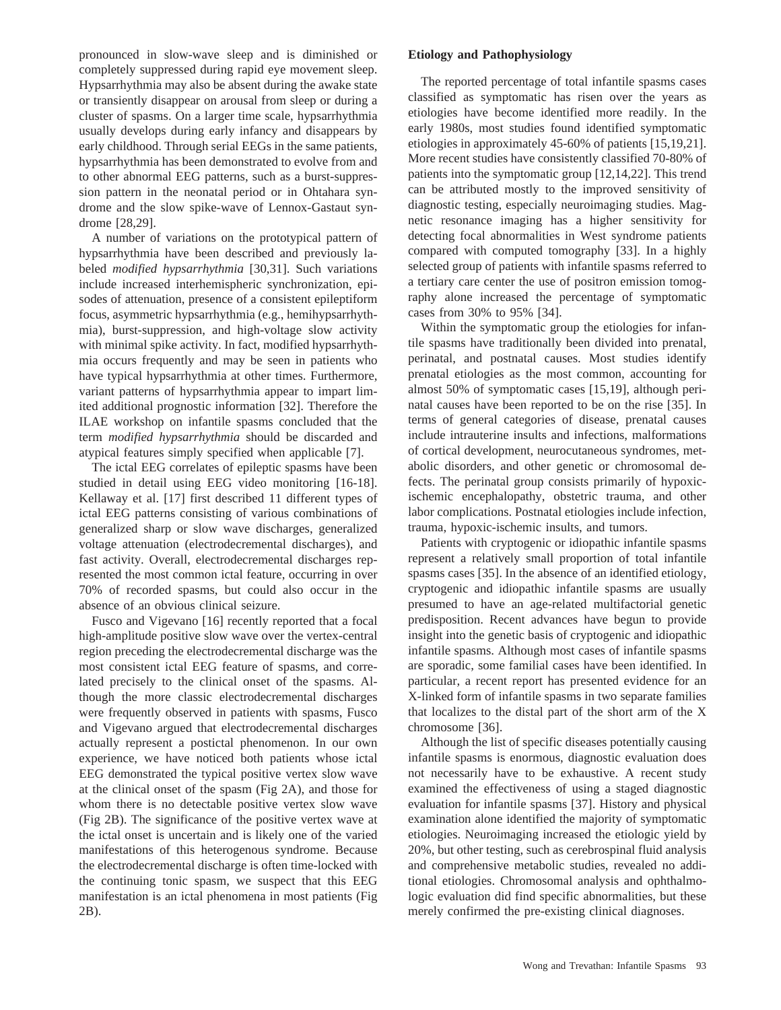pronounced in slow-wave sleep and is diminished or completely suppressed during rapid eye movement sleep. Hypsarrhythmia may also be absent during the awake state or transiently disappear on arousal from sleep or during a cluster of spasms. On a larger time scale, hypsarrhythmia usually develops during early infancy and disappears by early childhood. Through serial EEGs in the same patients, hypsarrhythmia has been demonstrated to evolve from and to other abnormal EEG patterns, such as a burst-suppression pattern in the neonatal period or in Ohtahara syndrome and the slow spike-wave of Lennox-Gastaut syndrome [28,29].

A number of variations on the prototypical pattern of hypsarrhythmia have been described and previously labeled *modified hypsarrhythmia* [30,31]. Such variations include increased interhemispheric synchronization, episodes of attenuation, presence of a consistent epileptiform focus, asymmetric hypsarrhythmia (e.g., hemihypsarrhythmia), burst-suppression, and high-voltage slow activity with minimal spike activity. In fact, modified hypsarrhythmia occurs frequently and may be seen in patients who have typical hypsarrhythmia at other times. Furthermore, variant patterns of hypsarrhythmia appear to impart limited additional prognostic information [32]. Therefore the ILAE workshop on infantile spasms concluded that the term *modified hypsarrhythmia* should be discarded and atypical features simply specified when applicable [7].

The ictal EEG correlates of epileptic spasms have been studied in detail using EEG video monitoring [16-18]. Kellaway et al. [17] first described 11 different types of ictal EEG patterns consisting of various combinations of generalized sharp or slow wave discharges, generalized voltage attenuation (electrodecremental discharges), and fast activity. Overall, electrodecremental discharges represented the most common ictal feature, occurring in over 70% of recorded spasms, but could also occur in the absence of an obvious clinical seizure.

Fusco and Vigevano [16] recently reported that a focal high-amplitude positive slow wave over the vertex-central region preceding the electrodecremental discharge was the most consistent ictal EEG feature of spasms, and correlated precisely to the clinical onset of the spasms. Although the more classic electrodecremental discharges were frequently observed in patients with spasms, Fusco and Vigevano argued that electrodecremental discharges actually represent a postictal phenomenon. In our own experience, we have noticed both patients whose ictal EEG demonstrated the typical positive vertex slow wave at the clinical onset of the spasm (Fig 2A), and those for whom there is no detectable positive vertex slow wave (Fig 2B). The significance of the positive vertex wave at the ictal onset is uncertain and is likely one of the varied manifestations of this heterogenous syndrome. Because the electrodecremental discharge is often time-locked with the continuing tonic spasm, we suspect that this EEG manifestation is an ictal phenomena in most patients (Fig 2B).

# **Etiology and Pathophysiology**

The reported percentage of total infantile spasms cases classified as symptomatic has risen over the years as etiologies have become identified more readily. In the early 1980s, most studies found identified symptomatic etiologies in approximately 45-60% of patients [15,19,21]. More recent studies have consistently classified 70-80% of patients into the symptomatic group [12,14,22]. This trend can be attributed mostly to the improved sensitivity of diagnostic testing, especially neuroimaging studies. Magnetic resonance imaging has a higher sensitivity for detecting focal abnormalities in West syndrome patients compared with computed tomography [33]. In a highly selected group of patients with infantile spasms referred to a tertiary care center the use of positron emission tomography alone increased the percentage of symptomatic cases from 30% to 95% [34].

Within the symptomatic group the etiologies for infantile spasms have traditionally been divided into prenatal, perinatal, and postnatal causes. Most studies identify prenatal etiologies as the most common, accounting for almost 50% of symptomatic cases [15,19], although perinatal causes have been reported to be on the rise [35]. In terms of general categories of disease, prenatal causes include intrauterine insults and infections, malformations of cortical development, neurocutaneous syndromes, metabolic disorders, and other genetic or chromosomal defects. The perinatal group consists primarily of hypoxicischemic encephalopathy, obstetric trauma, and other labor complications. Postnatal etiologies include infection, trauma, hypoxic-ischemic insults, and tumors.

Patients with cryptogenic or idiopathic infantile spasms represent a relatively small proportion of total infantile spasms cases [35]. In the absence of an identified etiology, cryptogenic and idiopathic infantile spasms are usually presumed to have an age-related multifactorial genetic predisposition. Recent advances have begun to provide insight into the genetic basis of cryptogenic and idiopathic infantile spasms. Although most cases of infantile spasms are sporadic, some familial cases have been identified. In particular, a recent report has presented evidence for an X-linked form of infantile spasms in two separate families that localizes to the distal part of the short arm of the X chromosome [36].

Although the list of specific diseases potentially causing infantile spasms is enormous, diagnostic evaluation does not necessarily have to be exhaustive. A recent study examined the effectiveness of using a staged diagnostic evaluation for infantile spasms [37]. History and physical examination alone identified the majority of symptomatic etiologies. Neuroimaging increased the etiologic yield by 20%, but other testing, such as cerebrospinal fluid analysis and comprehensive metabolic studies, revealed no additional etiologies. Chromosomal analysis and ophthalmologic evaluation did find specific abnormalities, but these merely confirmed the pre-existing clinical diagnoses.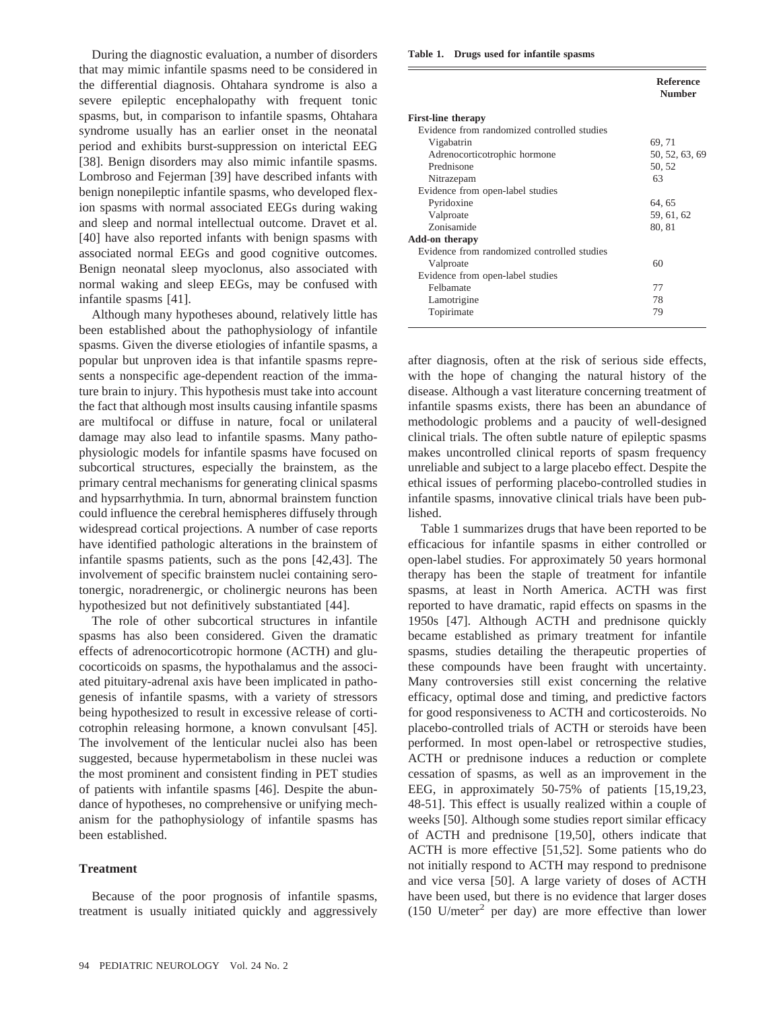During the diagnostic evaluation, a number of disorders that may mimic infantile spasms need to be considered in the differential diagnosis. Ohtahara syndrome is also a severe epileptic encephalopathy with frequent tonic spasms, but, in comparison to infantile spasms, Ohtahara syndrome usually has an earlier onset in the neonatal period and exhibits burst-suppression on interictal EEG [38]. Benign disorders may also mimic infantile spasms. Lombroso and Fejerman [39] have described infants with benign nonepileptic infantile spasms, who developed flexion spasms with normal associated EEGs during waking and sleep and normal intellectual outcome. Dravet et al. [40] have also reported infants with benign spasms with associated normal EEGs and good cognitive outcomes. Benign neonatal sleep myoclonus, also associated with normal waking and sleep EEGs, may be confused with infantile spasms [41].

Although many hypotheses abound, relatively little has been established about the pathophysiology of infantile spasms. Given the diverse etiologies of infantile spasms, a popular but unproven idea is that infantile spasms represents a nonspecific age-dependent reaction of the immature brain to injury. This hypothesis must take into account the fact that although most insults causing infantile spasms are multifocal or diffuse in nature, focal or unilateral damage may also lead to infantile spasms. Many pathophysiologic models for infantile spasms have focused on subcortical structures, especially the brainstem, as the primary central mechanisms for generating clinical spasms and hypsarrhythmia. In turn, abnormal brainstem function could influence the cerebral hemispheres diffusely through widespread cortical projections. A number of case reports have identified pathologic alterations in the brainstem of infantile spasms patients, such as the pons [42,43]. The involvement of specific brainstem nuclei containing serotonergic, noradrenergic, or cholinergic neurons has been hypothesized but not definitively substantiated [44].

The role of other subcortical structures in infantile spasms has also been considered. Given the dramatic effects of adrenocorticotropic hormone (ACTH) and glucocorticoids on spasms, the hypothalamus and the associated pituitary-adrenal axis have been implicated in pathogenesis of infantile spasms, with a variety of stressors being hypothesized to result in excessive release of corticotrophin releasing hormone, a known convulsant [45]. The involvement of the lenticular nuclei also has been suggested, because hypermetabolism in these nuclei was the most prominent and consistent finding in PET studies of patients with infantile spasms [46]. Despite the abundance of hypotheses, no comprehensive or unifying mechanism for the pathophysiology of infantile spasms has been established.

#### **Treatment**

Because of the poor prognosis of infantile spasms, treatment is usually initiated quickly and aggressively **Table 1. Drugs used for infantile spasms**

|                                             | <b>Reference</b><br><b>Number</b> |
|---------------------------------------------|-----------------------------------|
| <b>First-line therapy</b>                   |                                   |
| Evidence from randomized controlled studies |                                   |
| Vigabatrin                                  | 69, 71                            |
| Adrenocorticotrophic hormone                | 50, 52, 63, 69                    |
| Prednisone                                  | 50, 52                            |
| Nitrazepam                                  | 63                                |
| Evidence from open-label studies            |                                   |
| Pyridoxine                                  | 64, 65                            |
| Valproate                                   | 59, 61, 62                        |
| Zonisamide                                  | 80, 81                            |
| Add-on therapy                              |                                   |
| Evidence from randomized controlled studies |                                   |
| Valproate                                   | 60                                |
| Evidence from open-label studies            |                                   |
| Felbamate                                   | 77                                |
| Lamotrigine                                 | 78                                |
| Topirimate                                  | 79                                |

after diagnosis, often at the risk of serious side effects, with the hope of changing the natural history of the disease. Although a vast literature concerning treatment of infantile spasms exists, there has been an abundance of methodologic problems and a paucity of well-designed clinical trials. The often subtle nature of epileptic spasms makes uncontrolled clinical reports of spasm frequency unreliable and subject to a large placebo effect. Despite the ethical issues of performing placebo-controlled studies in infantile spasms, innovative clinical trials have been published.

Table 1 summarizes drugs that have been reported to be efficacious for infantile spasms in either controlled or open-label studies. For approximately 50 years hormonal therapy has been the staple of treatment for infantile spasms, at least in North America. ACTH was first reported to have dramatic, rapid effects on spasms in the 1950s [47]. Although ACTH and prednisone quickly became established as primary treatment for infantile spasms, studies detailing the therapeutic properties of these compounds have been fraught with uncertainty. Many controversies still exist concerning the relative efficacy, optimal dose and timing, and predictive factors for good responsiveness to ACTH and corticosteroids. No placebo-controlled trials of ACTH or steroids have been performed. In most open-label or retrospective studies, ACTH or prednisone induces a reduction or complete cessation of spasms, as well as an improvement in the EEG, in approximately 50-75% of patients [15,19,23, 48-51]. This effect is usually realized within a couple of weeks [50]. Although some studies report similar efficacy of ACTH and prednisone [19,50], others indicate that ACTH is more effective [51,52]. Some patients who do not initially respond to ACTH may respond to prednisone and vice versa [50]. A large variety of doses of ACTH have been used, but there is no evidence that larger doses (150 U/meter<sup>2</sup> per day) are more effective than lower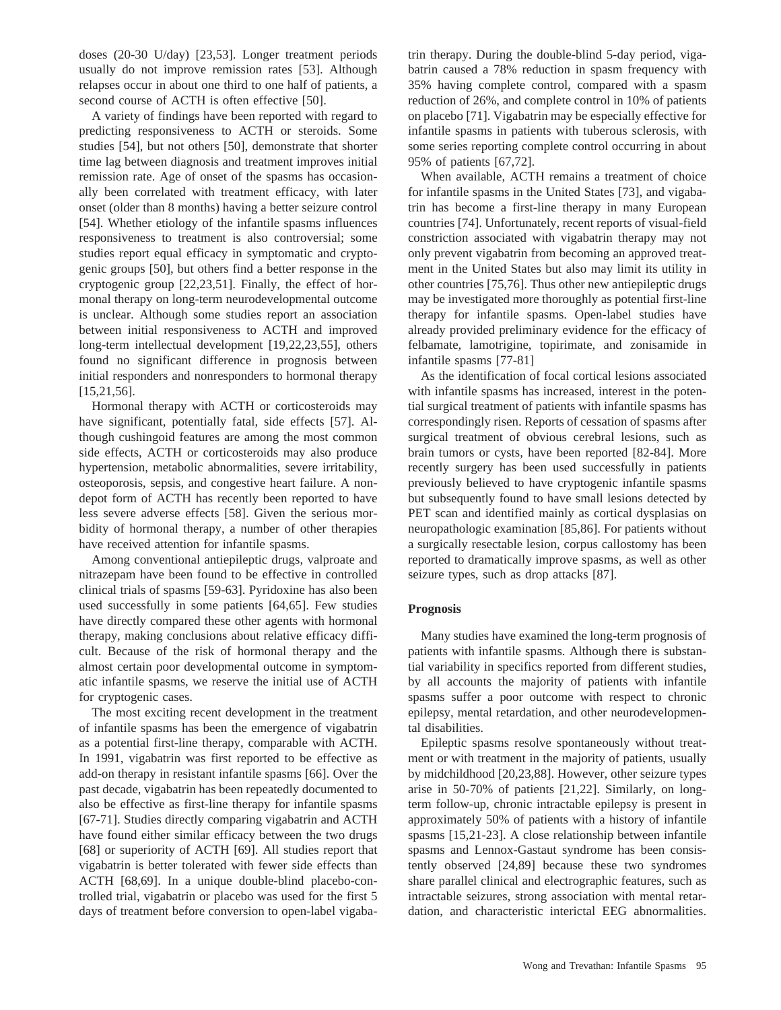doses (20-30 U/day) [23,53]. Longer treatment periods usually do not improve remission rates [53]. Although relapses occur in about one third to one half of patients, a second course of ACTH is often effective [50].

A variety of findings have been reported with regard to predicting responsiveness to ACTH or steroids. Some studies [54], but not others [50], demonstrate that shorter time lag between diagnosis and treatment improves initial remission rate. Age of onset of the spasms has occasionally been correlated with treatment efficacy, with later onset (older than 8 months) having a better seizure control [54]. Whether etiology of the infantile spasms influences responsiveness to treatment is also controversial; some studies report equal efficacy in symptomatic and cryptogenic groups [50], but others find a better response in the cryptogenic group [22,23,51]. Finally, the effect of hormonal therapy on long-term neurodevelopmental outcome is unclear. Although some studies report an association between initial responsiveness to ACTH and improved long-term intellectual development [19,22,23,55], others found no significant difference in prognosis between initial responders and nonresponders to hormonal therapy [15,21,56].

Hormonal therapy with ACTH or corticosteroids may have significant, potentially fatal, side effects [57]. Although cushingoid features are among the most common side effects, ACTH or corticosteroids may also produce hypertension, metabolic abnormalities, severe irritability, osteoporosis, sepsis, and congestive heart failure. A nondepot form of ACTH has recently been reported to have less severe adverse effects [58]. Given the serious morbidity of hormonal therapy, a number of other therapies have received attention for infantile spasms.

Among conventional antiepileptic drugs, valproate and nitrazepam have been found to be effective in controlled clinical trials of spasms [59-63]. Pyridoxine has also been used successfully in some patients [64,65]. Few studies have directly compared these other agents with hormonal therapy, making conclusions about relative efficacy difficult. Because of the risk of hormonal therapy and the almost certain poor developmental outcome in symptomatic infantile spasms, we reserve the initial use of ACTH for cryptogenic cases.

The most exciting recent development in the treatment of infantile spasms has been the emergence of vigabatrin as a potential first-line therapy, comparable with ACTH. In 1991, vigabatrin was first reported to be effective as add-on therapy in resistant infantile spasms [66]. Over the past decade, vigabatrin has been repeatedly documented to also be effective as first-line therapy for infantile spasms [67-71]. Studies directly comparing vigabatrin and ACTH have found either similar efficacy between the two drugs [68] or superiority of ACTH [69]. All studies report that vigabatrin is better tolerated with fewer side effects than ACTH [68,69]. In a unique double-blind placebo-controlled trial, vigabatrin or placebo was used for the first 5 days of treatment before conversion to open-label vigabatrin therapy. During the double-blind 5-day period, vigabatrin caused a 78% reduction in spasm frequency with 35% having complete control, compared with a spasm reduction of 26%, and complete control in 10% of patients on placebo [71]. Vigabatrin may be especially effective for infantile spasms in patients with tuberous sclerosis, with some series reporting complete control occurring in about 95% of patients [67,72].

When available, ACTH remains a treatment of choice for infantile spasms in the United States [73], and vigabatrin has become a first-line therapy in many European countries [74]. Unfortunately, recent reports of visual-field constriction associated with vigabatrin therapy may not only prevent vigabatrin from becoming an approved treatment in the United States but also may limit its utility in other countries [75,76]. Thus other new antiepileptic drugs may be investigated more thoroughly as potential first-line therapy for infantile spasms. Open-label studies have already provided preliminary evidence for the efficacy of felbamate, lamotrigine, topirimate, and zonisamide in infantile spasms [77-81]

As the identification of focal cortical lesions associated with infantile spasms has increased, interest in the potential surgical treatment of patients with infantile spasms has correspondingly risen. Reports of cessation of spasms after surgical treatment of obvious cerebral lesions, such as brain tumors or cysts, have been reported [82-84]. More recently surgery has been used successfully in patients previously believed to have cryptogenic infantile spasms but subsequently found to have small lesions detected by PET scan and identified mainly as cortical dysplasias on neuropathologic examination [85,86]. For patients without a surgically resectable lesion, corpus callostomy has been reported to dramatically improve spasms, as well as other seizure types, such as drop attacks [87].

# **Prognosis**

Many studies have examined the long-term prognosis of patients with infantile spasms. Although there is substantial variability in specifics reported from different studies, by all accounts the majority of patients with infantile spasms suffer a poor outcome with respect to chronic epilepsy, mental retardation, and other neurodevelopmental disabilities.

Epileptic spasms resolve spontaneously without treatment or with treatment in the majority of patients, usually by midchildhood [20,23,88]. However, other seizure types arise in 50-70% of patients [21,22]. Similarly, on longterm follow-up, chronic intractable epilepsy is present in approximately 50% of patients with a history of infantile spasms [15,21-23]. A close relationship between infantile spasms and Lennox-Gastaut syndrome has been consistently observed [24,89] because these two syndromes share parallel clinical and electrographic features, such as intractable seizures, strong association with mental retardation, and characteristic interictal EEG abnormalities.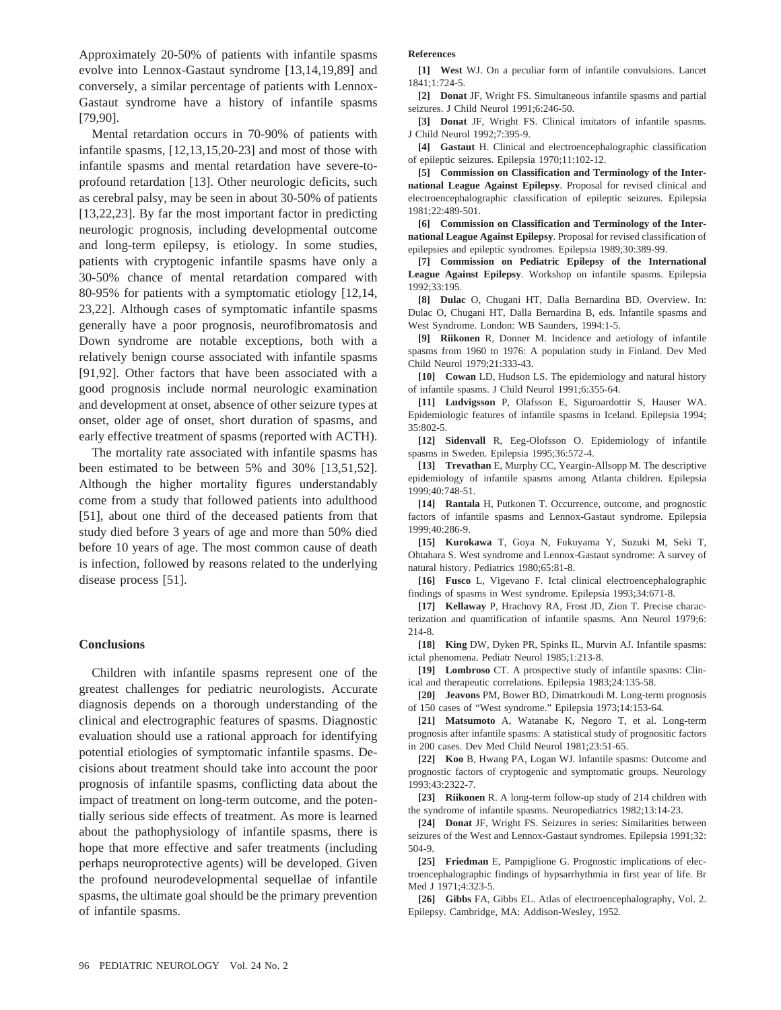Approximately 20-50% of patients with infantile spasms evolve into Lennox-Gastaut syndrome [13,14,19,89] and conversely, a similar percentage of patients with Lennox-Gastaut syndrome have a history of infantile spasms [79,90].

Mental retardation occurs in 70-90% of patients with infantile spasms, [12,13,15,20-23] and most of those with infantile spasms and mental retardation have severe-toprofound retardation [13]. Other neurologic deficits, such as cerebral palsy, may be seen in about 30-50% of patients [13,22,23]. By far the most important factor in predicting neurologic prognosis, including developmental outcome and long-term epilepsy, is etiology. In some studies, patients with cryptogenic infantile spasms have only a 30-50% chance of mental retardation compared with 80-95% for patients with a symptomatic etiology [12,14, 23,22]. Although cases of symptomatic infantile spasms generally have a poor prognosis, neurofibromatosis and Down syndrome are notable exceptions, both with a relatively benign course associated with infantile spasms [91,92]. Other factors that have been associated with a good prognosis include normal neurologic examination and development at onset, absence of other seizure types at onset, older age of onset, short duration of spasms, and early effective treatment of spasms (reported with ACTH).

The mortality rate associated with infantile spasms has been estimated to be between 5% and 30% [13,51,52]. Although the higher mortality figures understandably come from a study that followed patients into adulthood [51], about one third of the deceased patients from that study died before 3 years of age and more than 50% died before 10 years of age. The most common cause of death is infection, followed by reasons related to the underlying disease process [51].

#### **Conclusions**

Children with infantile spasms represent one of the greatest challenges for pediatric neurologists. Accurate diagnosis depends on a thorough understanding of the clinical and electrographic features of spasms. Diagnostic evaluation should use a rational approach for identifying potential etiologies of symptomatic infantile spasms. Decisions about treatment should take into account the poor prognosis of infantile spasms, conflicting data about the impact of treatment on long-term outcome, and the potentially serious side effects of treatment. As more is learned about the pathophysiology of infantile spasms, there is hope that more effective and safer treatments (including perhaps neuroprotective agents) will be developed. Given the profound neurodevelopmental sequellae of infantile spasms, the ultimate goal should be the primary prevention of infantile spasms.

#### **References**

**[1] West** WJ. On a peculiar form of infantile convulsions. Lancet 1841;1:724-5.

**[2] Donat** JF, Wright FS. Simultaneous infantile spasms and partial seizures. J Child Neurol 1991;6:246-50.

**[3] Donat** JF, Wright FS. Clinical imitators of infantile spasms. J Child Neurol 1992;7:395-9.

**[4] Gastaut** H. Clinical and electroencephalographic classification of epileptic seizures. Epilepsia 1970;11:102-12.

**[5] Commission on Classification and Terminology of the International League Against Epilepsy**. Proposal for revised clinical and electroencephalographic classification of epileptic seizures. Epilepsia 1981;22:489-501.

**[6] Commission on Classification and Terminology of the International League Against Epilepsy**. Proposal for revised classification of epilepsies and epileptic syndromes. Epilepsia 1989;30:389-99.

**[7] Commission on Pediatric Epilepsy of the International League Against Epilepsy**. Workshop on infantile spasms. Epilepsia 1992;33:195.

**[8] Dulac** O, Chugani HT, Dalla Bernardina BD. Overview. In: Dulac O, Chugani HT, Dalla Bernardina B, eds. Infantile spasms and West Syndrome. London: WB Saunders, 1994:1-5.

**[9] Riikonen** R, Donner M. Incidence and aetiology of infantile spasms from 1960 to 1976: A population study in Finland. Dev Med Child Neurol 1979;21:333-43.

**[10] Cowan** LD, Hudson LS. The epidemiology and natural history of infantile spasms. J Child Neurol 1991;6:355-64.

**[11] Ludvigsson** P, Olafsson E, Siguroardottir S, Hauser WA. Epidemiologic features of infantile spasms in Iceland. Epilepsia 1994; 35:802-5.

**[12] Sidenvall** R, Eeg-Olofsson O. Epidemiology of infantile spasms in Sweden. Epilepsia 1995;36:572-4.

**[13] Trevathan** E, Murphy CC, Yeargin-Allsopp M. The descriptive epidemiology of infantile spasms among Atlanta children. Epilepsia 1999;40:748-51.

**[14] Rantala** H, Putkonen T. Occurrence, outcome, and prognostic factors of infantile spasms and Lennox-Gastaut syndrome. Epilepsia 1999;40:286-9.

**[15] Kurokawa** T, Goya N, Fukuyama Y, Suzuki M, Seki T, Ohtahara S. West syndrome and Lennox-Gastaut syndrome: A survey of natural history. Pediatrics 1980;65:81-8.

**[16] Fusco** L, Vigevano F. Ictal clinical electroencephalographic findings of spasms in West syndrome. Epilepsia 1993;34:671-8.

**[17] Kellaway** P, Hrachovy RA, Frost JD, Zion T. Precise characterization and quantification of infantile spasms. Ann Neurol 1979;6: 214-8.

**[18] King** DW, Dyken PR, Spinks IL, Murvin AJ. Infantile spasms: ictal phenomena. Pediatr Neurol 1985;1:213-8.

**[19] Lombroso** CT. A prospective study of infantile spasms: Clinical and therapeutic correlations. Epilepsia 1983;24:135-58.

**[20] Jeavons** PM, Bower BD, Dimatrkoudi M. Long-term prognosis of 150 cases of "West syndrome." Epilepsia 1973;14:153-64.

**[21] Matsumoto** A, Watanabe K, Negoro T, et al. Long-term prognosis after infantile spasms: A statistical study of prognositic factors in 200 cases. Dev Med Child Neurol 1981;23:51-65.

**[22] Koo** B, Hwang PA, Logan WJ. Infantile spasms: Outcome and prognostic factors of cryptogenic and symptomatic groups. Neurology 1993;43:2322-7.

**[23] Riikonen** R. A long-term follow-up study of 214 children with the syndrome of infantile spasms. Neuropediatrics 1982;13:14-23.

**[24] Donat** JF, Wright FS. Seizures in series: Similarities between seizures of the West and Lennox-Gastaut syndromes. Epilepsia 1991;32: 504-9.

**[25] Friedman** E, Pampiglione G. Prognostic implications of electroencephalographic findings of hypsarrhythmia in first year of life. Br Med J 1971;4:323-5.

**[26] Gibbs** FA, Gibbs EL. Atlas of electroencephalography, Vol. 2. Epilepsy. Cambridge, MA: Addison-Wesley, 1952.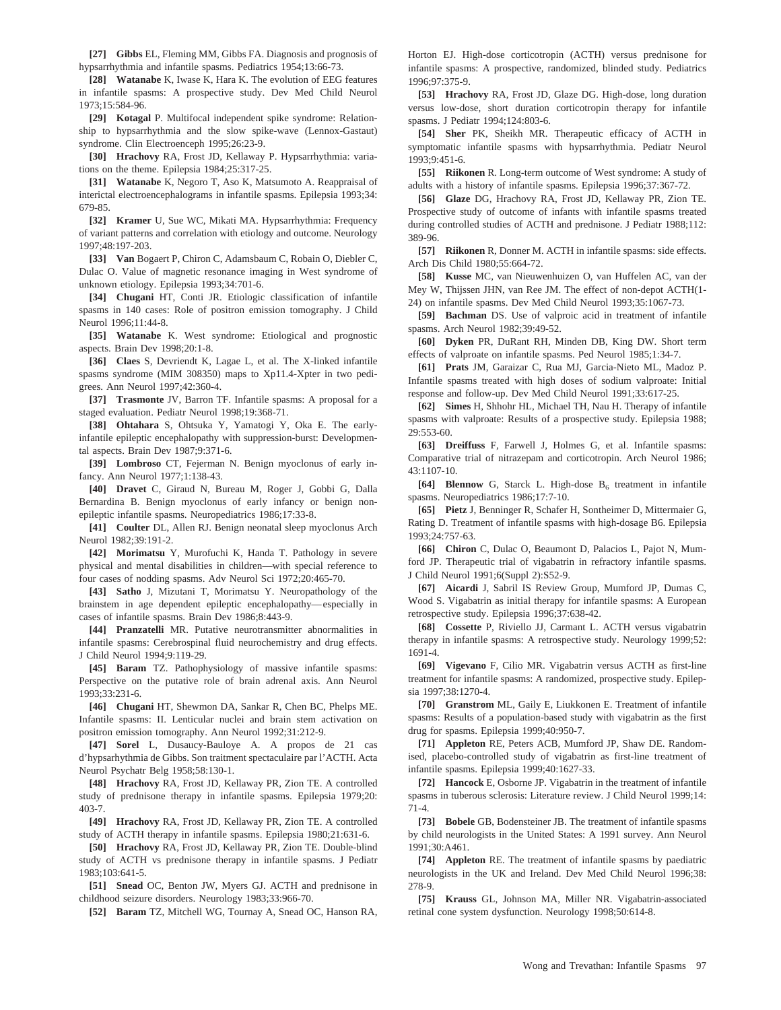**[27] Gibbs** EL, Fleming MM, Gibbs FA. Diagnosis and prognosis of hypsarrhythmia and infantile spasms. Pediatrics 1954;13:66-73.

**[28] Watanabe** K, Iwase K, Hara K. The evolution of EEG features in infantile spasms: A prospective study. Dev Med Child Neurol 1973;15:584-96.

**[29] Kotagal** P. Multifocal independent spike syndrome: Relationship to hypsarrhythmia and the slow spike-wave (Lennox-Gastaut) syndrome. Clin Electroenceph 1995;26:23-9.

**[30] Hrachovy** RA, Frost JD, Kellaway P. Hypsarrhythmia: variations on the theme. Epilepsia 1984;25:317-25.

**[31] Watanabe** K, Negoro T, Aso K, Matsumoto A. Reappraisal of interictal electroencephalograms in infantile spasms. Epilepsia 1993;34: 679-85.

**[32] Kramer** U, Sue WC, Mikati MA. Hypsarrhythmia: Frequency of variant patterns and correlation with etiology and outcome. Neurology 1997;48:197-203.

**[33] Van** Bogaert P, Chiron C, Adamsbaum C, Robain O, Diebler C, Dulac O. Value of magnetic resonance imaging in West syndrome of unknown etiology. Epilepsia 1993;34:701-6.

**[34] Chugani** HT, Conti JR. Etiologic classification of infantile spasms in 140 cases: Role of positron emission tomography. J Child Neurol 1996;11:44-8.

**[35] Watanabe** K. West syndrome: Etiological and prognostic aspects. Brain Dev 1998;20:1-8.

**[36] Claes** S, Devriendt K, Lagae L, et al. The X-linked infantile spasms syndrome (MIM 308350) maps to Xp11.4-Xpter in two pedigrees. Ann Neurol 1997;42:360-4.

**[37] Trasmonte** JV, Barron TF. Infantile spasms: A proposal for a staged evaluation. Pediatr Neurol 1998;19:368-71.

**[38] Ohtahara** S, Ohtsuka Y, Yamatogi Y, Oka E. The earlyinfantile epileptic encephalopathy with suppression-burst: Developmental aspects. Brain Dev 1987;9:371-6.

**[39] Lombroso** CT, Fejerman N. Benign myoclonus of early infancy. Ann Neurol 1977;1:138-43.

**[40] Dravet** C, Giraud N, Bureau M, Roger J, Gobbi G, Dalla Bernardina B. Benign myoclonus of early infancy or benign nonepileptic infantile spasms. Neuropediatrics 1986;17:33-8.

**[41] Coulter** DL, Allen RJ. Benign neonatal sleep myoclonus Arch Neurol 1982;39:191-2.

**[42] Morimatsu** Y, Murofuchi K, Handa T. Pathology in severe physical and mental disabilities in children—with special reference to four cases of nodding spasms. Adv Neurol Sci 1972;20:465-70.

**[43] Satho** J, Mizutani T, Morimatsu Y. Neuropathology of the brainstem in age dependent epileptic encephalopathy—especially in cases of infantile spasms. Brain Dev 1986;8:443-9.

**[44] Pranzatelli** MR. Putative neurotransmitter abnormalities in infantile spasms: Cerebrospinal fluid neurochemistry and drug effects. J Child Neurol 1994;9:119-29.

**[45] Baram** TZ. Pathophysiology of massive infantile spasms: Perspective on the putative role of brain adrenal axis. Ann Neurol 1993;33:231-6.

**[46] Chugani** HT, Shewmon DA, Sankar R, Chen BC, Phelps ME. Infantile spasms: II. Lenticular nuclei and brain stem activation on positron emission tomography. Ann Neurol 1992;31:212-9.

**[47] Sorel** L, Dusaucy-Bauloye A. A propos de 21 cas d'hypsarhythmia de Gibbs. Son traitment spectaculaire par l'ACTH. Acta Neurol Psychatr Belg 1958;58:130-1.

**[48] Hrachovy** RA, Frost JD, Kellaway PR, Zion TE. A controlled study of prednisone therapy in infantile spasms. Epilepsia 1979;20: 403-7.

**[49] Hrachovy** RA, Frost JD, Kellaway PR, Zion TE. A controlled study of ACTH therapy in infantile spasms. Epilepsia 1980;21:631-6.

**[50] Hrachovy** RA, Frost JD, Kellaway PR, Zion TE. Double-blind study of ACTH vs prednisone therapy in infantile spasms. J Pediatr 1983;103:641-5.

**[51] Snead** OC, Benton JW, Myers GJ. ACTH and prednisone in childhood seizure disorders. Neurology 1983;33:966-70.

**[52] Baram** TZ, Mitchell WG, Tournay A, Snead OC, Hanson RA,

Horton EJ. High-dose corticotropin (ACTH) versus prednisone for infantile spasms: A prospective, randomized, blinded study. Pediatrics 1996;97:375-9.

**[53] Hrachovy** RA, Frost JD, Glaze DG. High-dose, long duration versus low-dose, short duration corticotropin therapy for infantile spasms. J Pediatr 1994;124:803-6.

**[54] Sher** PK, Sheikh MR. Therapeutic efficacy of ACTH in symptomatic infantile spasms with hypsarrhythmia. Pediatr Neurol 1993;9:451-6.

**[55] Riikonen** R. Long-term outcome of West syndrome: A study of adults with a history of infantile spasms. Epilepsia 1996;37:367-72.

**[56] Glaze** DG, Hrachovy RA, Frost JD, Kellaway PR, Zion TE. Prospective study of outcome of infants with infantile spasms treated during controlled studies of ACTH and prednisone. J Pediatr 1988;112: 389-96.

**[57] Riikonen** R, Donner M. ACTH in infantile spasms: side effects. Arch Dis Child 1980;55:664-72.

**[58] Kusse** MC, van Nieuwenhuizen O, van Huffelen AC, van der Mey W, Thijssen JHN, van Ree JM. The effect of non-depot ACTH(1- 24) on infantile spasms. Dev Med Child Neurol 1993;35:1067-73.

**[59] Bachman** DS. Use of valproic acid in treatment of infantile spasms. Arch Neurol 1982;39:49-52.

**[60] Dyken** PR, DuRant RH, Minden DB, King DW. Short term effects of valproate on infantile spasms. Ped Neurol 1985;1:34-7.

**[61] Prats** JM, Garaizar C, Rua MJ, Garcia-Nieto ML, Madoz P. Infantile spasms treated with high doses of sodium valproate: Initial response and follow-up. Dev Med Child Neurol 1991;33:617-25.

**[62] Simes** H, Shhohr HL, Michael TH, Nau H. Therapy of infantile spasms with valproate: Results of a prospective study. Epilepsia 1988; 29:553-60.

**[63] Dreiffuss** F, Farwell J, Holmes G, et al. Infantile spasms: Comparative trial of nitrazepam and corticotropin. Arch Neurol 1986; 43:1107-10.

[64] **Blennow** G, Starck L. High-dose  $B_6$  treatment in infantile spasms. Neuropediatrics 1986;17:7-10.

**[65] Pietz** J, Benninger R, Schafer H, Sontheimer D, Mittermaier G, Rating D. Treatment of infantile spasms with high-dosage B6. Epilepsia 1993;24:757-63.

**[66] Chiron** C, Dulac O, Beaumont D, Palacios L, Pajot N, Mumford JP. Therapeutic trial of vigabatrin in refractory infantile spasms. J Child Neurol 1991;6(Suppl 2):S52-9.

**[67] Aicardi** J, Sabril IS Review Group, Mumford JP, Dumas C, Wood S. Vigabatrin as initial therapy for infantile spasms: A European retrospective study. Epilepsia 1996;37:638-42.

**[68] Cossette** P, Riviello JJ, Carmant L. ACTH versus vigabatrin therapy in infantile spasms: A retrospective study. Neurology 1999;52: 1691-4.

**[69] Vigevano** F, Cilio MR. Vigabatrin versus ACTH as first-line treatment for infantile spasms: A randomized, prospective study. Epilepsia 1997;38:1270-4.

**[70] Granstrom** ML, Gaily E, Liukkonen E. Treatment of infantile spasms: Results of a population-based study with vigabatrin as the first drug for spasms. Epilepsia 1999;40:950-7.

**[71] Appleton** RE, Peters ACB, Mumford JP, Shaw DE. Randomised, placebo-controlled study of vigabatrin as first-line treatment of infantile spasms. Epilepsia 1999;40:1627-33.

**[72] Hancock** E, Osborne JP. Vigabatrin in the treatment of infantile spasms in tuberous sclerosis: Literature review. J Child Neurol 1999;14: 71-4.

**[73] Bobele** GB, Bodensteiner JB. The treatment of infantile spasms by child neurologists in the United States: A 1991 survey. Ann Neurol 1991;30:A461.

**[74] Appleton** RE. The treatment of infantile spasms by paediatric neurologists in the UK and Ireland. Dev Med Child Neurol 1996;38: 278-9.

**[75] Krauss** GL, Johnson MA, Miller NR. Vigabatrin-associated retinal cone system dysfunction. Neurology 1998;50:614-8.